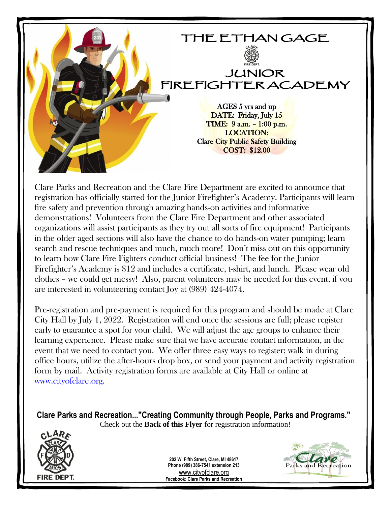

Clare Parks and Recreation and the Clare Fire Department are excited to announce that registration has officially started for the Junior Firefighter's Academy. Participants will learn fire safety and prevention through amazing hands-on activities and informative demonstrations! Volunteers from the Clare Fire Department and other associated organizations will assist participants as they try out all sorts of fire equipment! Participants in the older aged sections will also have the chance to do hands-on water pumping; learn search and rescue techniques and much, much more! Don't miss out on this opportunity to learn how Clare Fire Fighters conduct official business! The fee for the Junior Firefighter's Academy is \$12 and includes a certificate, t-shirt, and lunch. Please wear old clothes – we could get messy! Also, parent volunteers may be needed for this event, if you are interested in volunteering contact Joy at (989) 424-4074.

Pre-registration and pre-payment is required for this program and should be made at Clare City Hall by July 1, 2022. Registration will end once the sessions are full; please register early to guarantee a spot for your child. We will adjust the age groups to enhance their learning experience. Please make sure that we have accurate contact information, in the event that we need to contact you. We offer three easy ways to register; walk in during office hours, utilize the after-hours drop box, or send your payment and activity registration form by mail. Activity registration forms are available at City Hall or online at [www.cityofclare.org.](http://www.cityofclare.org/)

**Clare Parks and Recreation..."Creating Community through People, Parks and Programs."** Check out the **Back of this Flyer** for registration information!



**202 W. Fifth Street, Clare, MI 48617 Phone (989) 386-7541 extension 213** [www.cityofclare.org](http://www.cityofclare.org/) **Facebook: Clare Parks and Recreation**